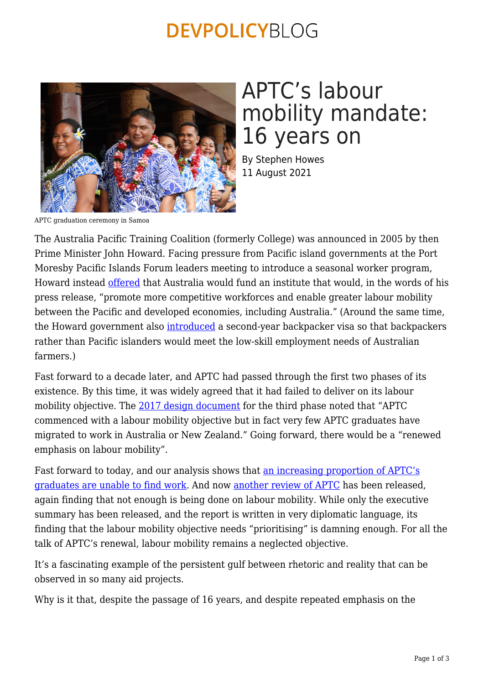### **DEVPOLICYBLOG**



# APTC's labour mobility mandate: 16 years on

By Stephen Howes 11 August 2021

APTC graduation ceremony in Samoa

The Australia Pacific Training Coalition (formerly College) was announced in 2005 by then Prime Minister John Howard. Facing pressure from Pacific island governments at the Port Moresby Pacific Islands Forum leaders meeting to introduce a seasonal worker program, Howard instead [offered](https://pmtranscripts.pmc.gov.au/release/transcript-22011) that Australia would fund an institute that would, in the words of his press release, "promote more competitive workforces and enable greater labour mobility between the Pacific and developed economies, including Australia." (Around the same time, the Howard government also [introduced](https://devpolicy.org/foreign-workers-on-australian-farms-not-if-but-how-20210723/) a second-year backpacker visa so that backpackers rather than Pacific islanders would meet the low-skill employment needs of Australian farmers.)

Fast forward to a decade later, and APTC had passed through the first two phases of its existence. By this time, it was widely agreed that it had failed to deliver on its labour mobility objective. The [2017 design document](https://www.dfat.gov.au/sites/default/files/aptc3-design-document.pdf) for the third phase noted that "APTC commenced with a labour mobility objective but in fact very few APTC graduates have migrated to work in Australia or New Zealand." Going forward, there would be a "renewed emphasis on labour mobility".

Fast forward to today, and our analysis shows that [an increasing proportion of APTC's](https://devpolicy.org/aptc-graduates-finding-it-increasingly-difficult-to-find-employment-20210217/) [graduates are unable to find work](https://devpolicy.org/aptc-graduates-finding-it-increasingly-difficult-to-find-employment-20210217/). And now [another review of APTC](https://www.dfat.gov.au/publications/international-relations/australia-pacific-training-coalition-strategic-review) has been released, again finding that not enough is being done on labour mobility. While only the executive summary has been released, and the report is written in very diplomatic language, its finding that the labour mobility objective needs "prioritising" is damning enough. For all the talk of APTC's renewal, labour mobility remains a neglected objective.

It's a fascinating example of the persistent gulf between rhetoric and reality that can be observed in so many aid projects.

Why is it that, despite the passage of 16 years, and despite repeated emphasis on the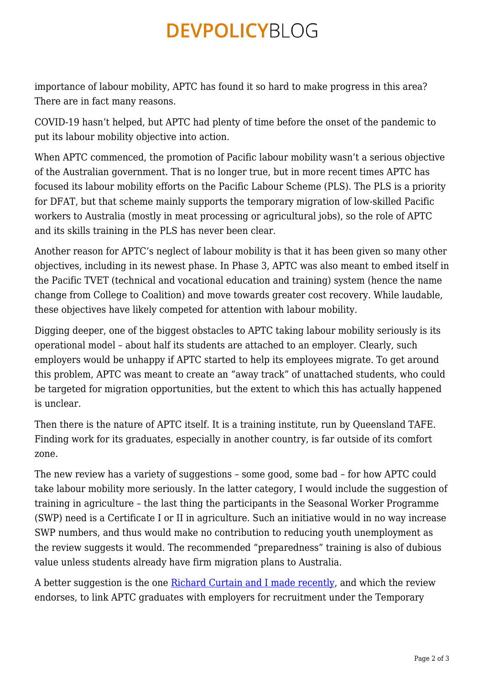## **DEVPOLICYBLOG**

importance of labour mobility, APTC has found it so hard to make progress in this area? There are in fact many reasons.

COVID-19 hasn't helped, but APTC had plenty of time before the onset of the pandemic to put its labour mobility objective into action.

When APTC commenced, the promotion of Pacific labour mobility wasn't a serious objective of the Australian government. That is no longer true, but in more recent times APTC has focused its labour mobility efforts on the Pacific Labour Scheme (PLS). The PLS is a priority for DFAT, but that scheme mainly supports the temporary migration of low-skilled Pacific workers to Australia (mostly in meat processing or agricultural jobs), so the role of APTC and its skills training in the PLS has never been clear.

Another reason for APTC's neglect of labour mobility is that it has been given so many other objectives, including in its newest phase. In Phase 3, APTC was also meant to embed itself in the Pacific TVET (technical and vocational education and training) system (hence the name change from College to Coalition) and move towards greater cost recovery. While laudable, these objectives have likely competed for attention with labour mobility.

Digging deeper, one of the biggest obstacles to APTC taking labour mobility seriously is its operational model – about half its students are attached to an employer. Clearly, such employers would be unhappy if APTC started to help its employees migrate. To get around this problem, APTC was meant to create an "away track" of unattached students, who could be targeted for migration opportunities, but the extent to which this has actually happened is unclear.

Then there is the nature of APTC itself. It is a training institute, run by Queensland TAFE. Finding work for its graduates, especially in another country, is far outside of its comfort zone.

The new review has a variety of suggestions – some good, some bad – for how APTC could take labour mobility more seriously. In the latter category, I would include the suggestion of training in agriculture – the last thing the participants in the Seasonal Worker Programme (SWP) need is a Certificate I or II in agriculture. Such an initiative would in no way increase SWP numbers, and thus would make no contribution to reducing youth unemployment as the review suggests it would. The recommended "preparedness" training is also of dubious value unless students already have firm migration plans to Australia.

A better suggestion is the one [Richard Curtain and I made recently,](https://devpolicy.org/helping-aptc-trades-graduates-to-migrate-to-australia-why-how-and-when-20210218-2/) and which the review endorses, to link APTC graduates with employers for recruitment under the Temporary